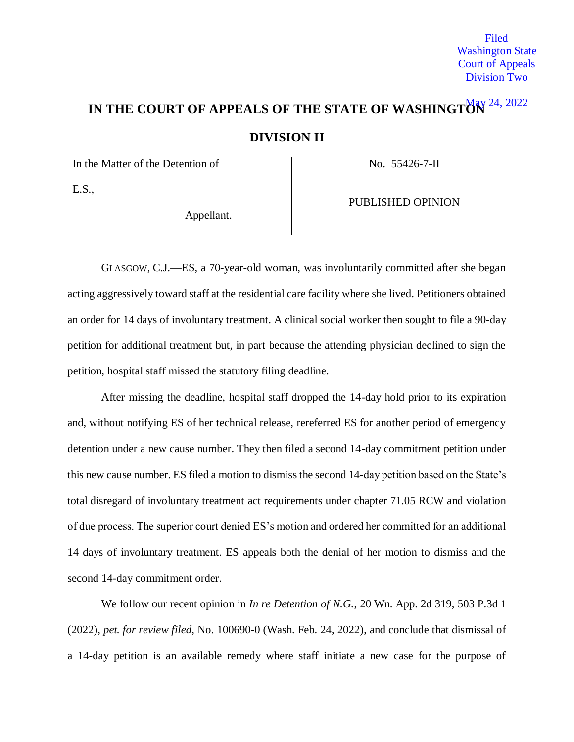Filed Washington State Court of Appeals Division Two

# IN THE COURT OF APPEALS OF THE STATE OF WASHINGTON<sup>24, 2022</sup> **DIVISION II**

In the Matter of the Detention of No. 55426-7-II

E.S.,

Appellant.

PUBLISHED OPINION

GLASGOW, C.J.—ES, a 70-year-old woman, was involuntarily committed after she began acting aggressively toward staff at the residential care facility where she lived. Petitioners obtained an order for 14 days of involuntary treatment. A clinical social worker then sought to file a 90-day petition for additional treatment but, in part because the attending physician declined to sign the petition, hospital staff missed the statutory filing deadline.

After missing the deadline, hospital staff dropped the 14-day hold prior to its expiration and, without notifying ES of her technical release, rereferred ES for another period of emergency detention under a new cause number. They then filed a second 14-day commitment petition under this new cause number. ES filed a motion to dismiss the second 14-day petition based on the State's total disregard of involuntary treatment act requirements under chapter 71.05 RCW and violation of due process. The superior court denied ES's motion and ordered her committed for an additional 14 days of involuntary treatment. ES appeals both the denial of her motion to dismiss and the second 14-day commitment order.

We follow our recent opinion in *In re Detention of N.G.*, 20 Wn. App. 2d 319, 503 P.3d 1 (2022), *pet. for review filed*, No. 100690-0 (Wash. Feb. 24, 2022), and conclude that dismissal of a 14-day petition is an available remedy where staff initiate a new case for the purpose of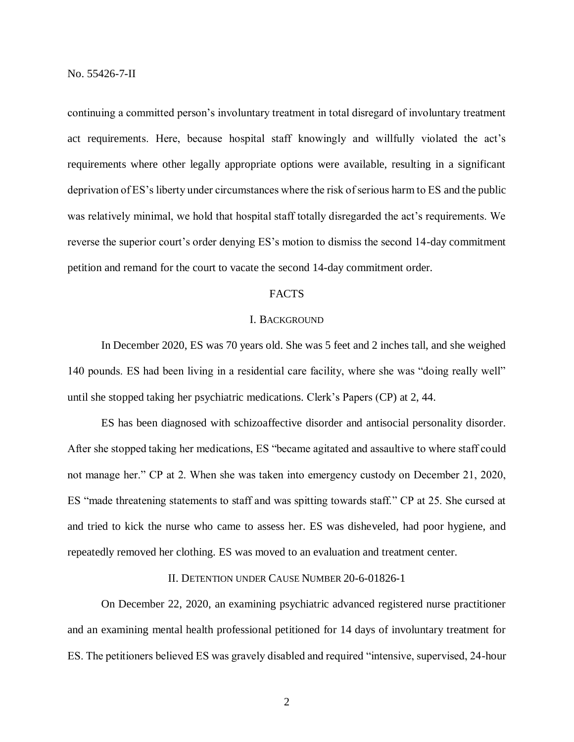continuing a committed person's involuntary treatment in total disregard of involuntary treatment act requirements. Here, because hospital staff knowingly and willfully violated the act's requirements where other legally appropriate options were available, resulting in a significant deprivation of ES's liberty under circumstances where the risk of serious harm to ES and the public was relatively minimal, we hold that hospital staff totally disregarded the act's requirements. We reverse the superior court's order denying ES's motion to dismiss the second 14-day commitment petition and remand for the court to vacate the second 14-day commitment order.

# FACTS

#### I. BACKGROUND

In December 2020, ES was 70 years old. She was 5 feet and 2 inches tall, and she weighed 140 pounds. ES had been living in a residential care facility, where she was "doing really well" until she stopped taking her psychiatric medications. Clerk's Papers (CP) at 2, 44.

ES has been diagnosed with schizoaffective disorder and antisocial personality disorder. After she stopped taking her medications, ES "became agitated and assaultive to where staff could not manage her." CP at 2. When she was taken into emergency custody on December 21, 2020, ES "made threatening statements to staff and was spitting towards staff." CP at 25. She cursed at and tried to kick the nurse who came to assess her. ES was disheveled, had poor hygiene, and repeatedly removed her clothing. ES was moved to an evaluation and treatment center.

# II. DETENTION UNDER CAUSE NUMBER 20-6-01826-1

On December 22, 2020, an examining psychiatric advanced registered nurse practitioner and an examining mental health professional petitioned for 14 days of involuntary treatment for ES. The petitioners believed ES was gravely disabled and required "intensive, supervised, 24-hour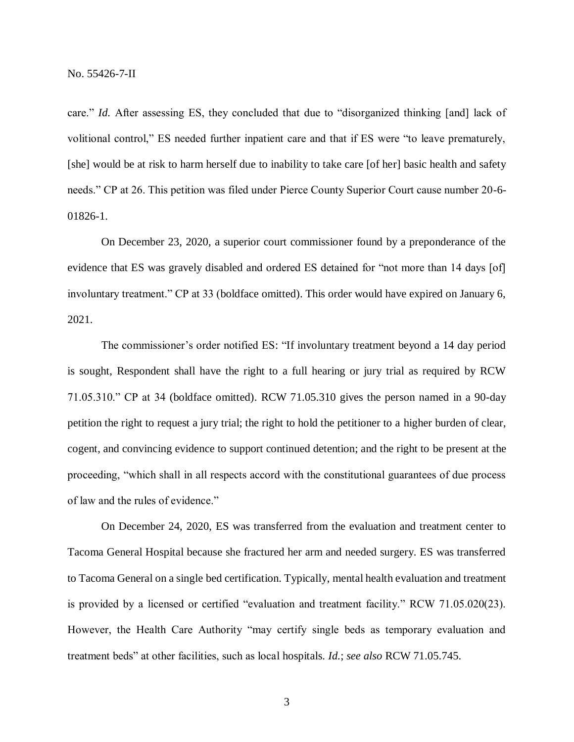care." *Id.* After assessing ES, they concluded that due to "disorganized thinking [and] lack of volitional control," ES needed further inpatient care and that if ES were "to leave prematurely, [she] would be at risk to harm herself due to inability to take care [of her] basic health and safety needs." CP at 26. This petition was filed under Pierce County Superior Court cause number 20-6- 01826-1.

On December 23, 2020, a superior court commissioner found by a preponderance of the evidence that ES was gravely disabled and ordered ES detained for "not more than 14 days [of] involuntary treatment." CP at 33 (boldface omitted). This order would have expired on January 6, 2021.

The commissioner's order notified ES: "If involuntary treatment beyond a 14 day period is sought, Respondent shall have the right to a full hearing or jury trial as required by RCW 71.05.310." CP at 34 (boldface omitted). RCW 71.05.310 gives the person named in a 90-day petition the right to request a jury trial; the right to hold the petitioner to a higher burden of clear, cogent, and convincing evidence to support continued detention; and the right to be present at the proceeding, "which shall in all respects accord with the constitutional guarantees of due process of law and the rules of evidence."

On December 24, 2020, ES was transferred from the evaluation and treatment center to Tacoma General Hospital because she fractured her arm and needed surgery. ES was transferred to Tacoma General on a single bed certification. Typically, mental health evaluation and treatment is provided by a licensed or certified "evaluation and treatment facility." RCW 71.05.020(23). However, the Health Care Authority "may certify single beds as temporary evaluation and treatment beds" at other facilities, such as local hospitals. *Id.*; *see also* RCW 71.05.745.

3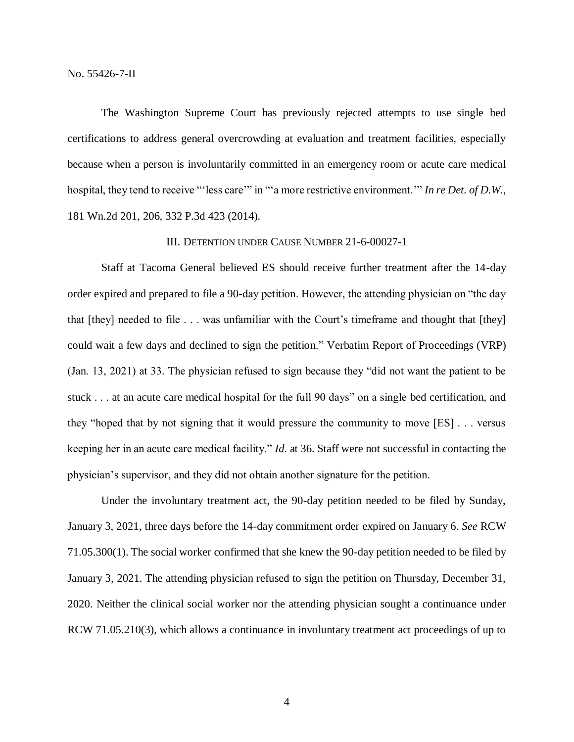The Washington Supreme Court has previously rejected attempts to use single bed certifications to address general overcrowding at evaluation and treatment facilities, especially because when a person is involuntarily committed in an emergency room or acute care medical hospital, they tend to receive "'less care'" in "'a more restrictive environment.'" *In re Det. of D.W.*, 181 Wn.2d 201, 206, 332 P.3d 423 (2014).

## III. DETENTION UNDER CAUSE NUMBER 21-6-00027-1

Staff at Tacoma General believed ES should receive further treatment after the 14-day order expired and prepared to file a 90-day petition. However, the attending physician on "the day that [they] needed to file . . . was unfamiliar with the Court's timeframe and thought that [they] could wait a few days and declined to sign the petition." Verbatim Report of Proceedings (VRP) (Jan. 13, 2021) at 33. The physician refused to sign because they "did not want the patient to be stuck . . . at an acute care medical hospital for the full 90 days" on a single bed certification, and they "hoped that by not signing that it would pressure the community to move [ES] . . . versus keeping her in an acute care medical facility." *Id.* at 36. Staff were not successful in contacting the physician's supervisor, and they did not obtain another signature for the petition.

Under the involuntary treatment act, the 90-day petition needed to be filed by Sunday, January 3, 2021, three days before the 14-day commitment order expired on January 6. *See* RCW 71.05.300(1). The social worker confirmed that she knew the 90-day petition needed to be filed by January 3, 2021. The attending physician refused to sign the petition on Thursday, December 31, 2020. Neither the clinical social worker nor the attending physician sought a continuance under RCW 71.05.210(3), which allows a continuance in involuntary treatment act proceedings of up to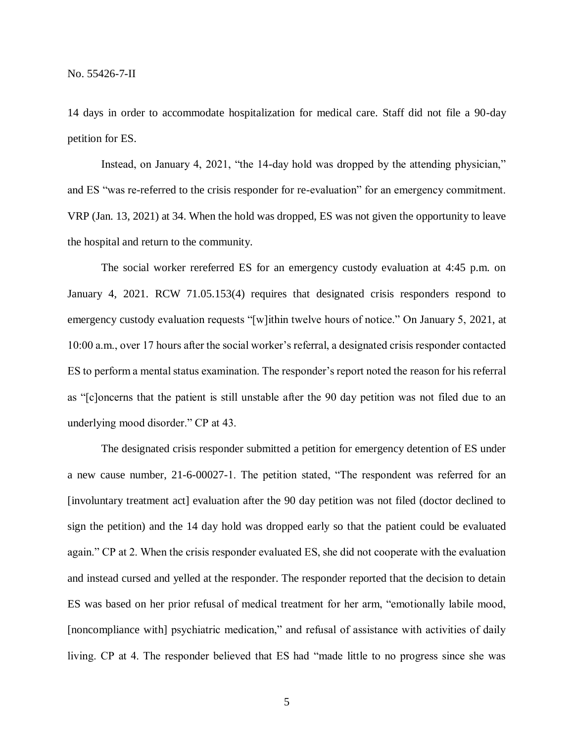14 days in order to accommodate hospitalization for medical care. Staff did not file a 90-day petition for ES.

Instead, on January 4, 2021, "the 14-day hold was dropped by the attending physician," and ES "was re-referred to the crisis responder for re-evaluation" for an emergency commitment. VRP (Jan. 13, 2021) at 34. When the hold was dropped, ES was not given the opportunity to leave the hospital and return to the community.

The social worker rereferred ES for an emergency custody evaluation at 4:45 p.m. on January 4, 2021. RCW 71.05.153(4) requires that designated crisis responders respond to emergency custody evaluation requests "[w]ithin twelve hours of notice." On January 5, 2021, at 10:00 a.m., over 17 hours after the social worker's referral, a designated crisis responder contacted ES to perform a mental status examination. The responder's report noted the reason for his referral as "[c]oncerns that the patient is still unstable after the 90 day petition was not filed due to an underlying mood disorder." CP at 43.

The designated crisis responder submitted a petition for emergency detention of ES under a new cause number, 21-6-00027-1. The petition stated, "The respondent was referred for an [involuntary treatment act] evaluation after the 90 day petition was not filed (doctor declined to sign the petition) and the 14 day hold was dropped early so that the patient could be evaluated again." CP at 2. When the crisis responder evaluated ES, she did not cooperate with the evaluation and instead cursed and yelled at the responder. The responder reported that the decision to detain ES was based on her prior refusal of medical treatment for her arm, "emotionally labile mood, [noncompliance with] psychiatric medication," and refusal of assistance with activities of daily living. CP at 4. The responder believed that ES had "made little to no progress since she was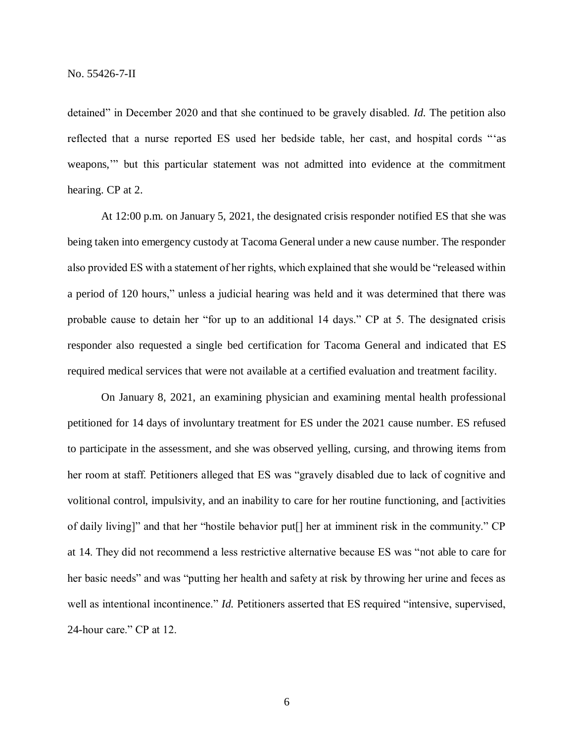detained" in December 2020 and that she continued to be gravely disabled. *Id.* The petition also reflected that a nurse reported ES used her bedside table, her cast, and hospital cords "'as weapons,'" but this particular statement was not admitted into evidence at the commitment hearing. CP at 2.

At 12:00 p.m. on January 5, 2021, the designated crisis responder notified ES that she was being taken into emergency custody at Tacoma General under a new cause number. The responder also provided ES with a statement of her rights, which explained that she would be "released within a period of 120 hours," unless a judicial hearing was held and it was determined that there was probable cause to detain her "for up to an additional 14 days." CP at 5. The designated crisis responder also requested a single bed certification for Tacoma General and indicated that ES required medical services that were not available at a certified evaluation and treatment facility.

On January 8, 2021, an examining physician and examining mental health professional petitioned for 14 days of involuntary treatment for ES under the 2021 cause number. ES refused to participate in the assessment, and she was observed yelling, cursing, and throwing items from her room at staff. Petitioners alleged that ES was "gravely disabled due to lack of cognitive and volitional control, impulsivity, and an inability to care for her routine functioning, and [activities of daily living]" and that her "hostile behavior put[] her at imminent risk in the community." CP at 14. They did not recommend a less restrictive alternative because ES was "not able to care for her basic needs" and was "putting her health and safety at risk by throwing her urine and feces as well as intentional incontinence." *Id.* Petitioners asserted that ES required "intensive, supervised, 24-hour care." CP at 12.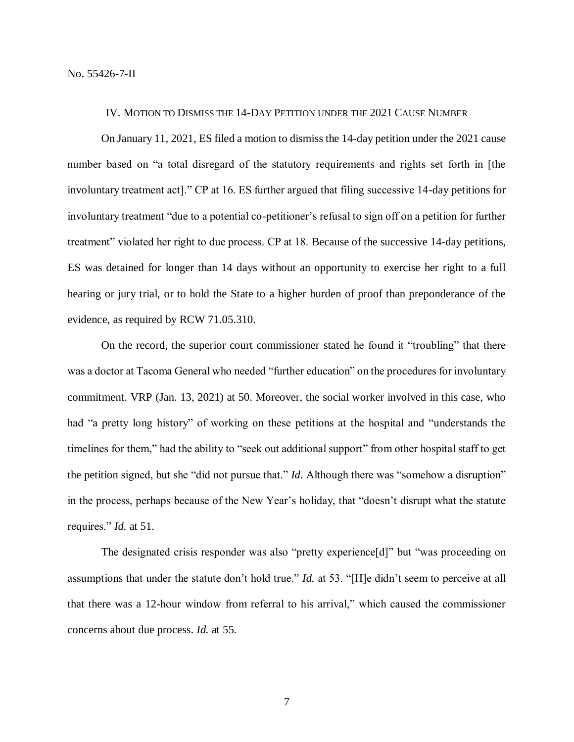#### IV. MOTION TO DISMISS THE 14**-**DAY PETITION UNDER THE 2021 CAUSE NUMBER

On January 11, 2021, ES filed a motion to dismiss the 14-day petition under the 2021 cause number based on "a total disregard of the statutory requirements and rights set forth in [the involuntary treatment act]." CP at 16. ES further argued that filing successive 14-day petitions for involuntary treatment "due to a potential co-petitioner's refusal to sign off on a petition for further treatment" violated her right to due process. CP at 18. Because of the successive 14-day petitions, ES was detained for longer than 14 days without an opportunity to exercise her right to a full hearing or jury trial, or to hold the State to a higher burden of proof than preponderance of the evidence, as required by RCW 71.05.310.

On the record, the superior court commissioner stated he found it "troubling" that there was a doctor at Tacoma General who needed "further education" on the procedures for involuntary commitment. VRP (Jan. 13, 2021) at 50. Moreover, the social worker involved in this case, who had "a pretty long history" of working on these petitions at the hospital and "understands the timelines for them," had the ability to "seek out additional support" from other hospital staff to get the petition signed, but she "did not pursue that." *Id.* Although there was "somehow a disruption" in the process, perhaps because of the New Year's holiday, that "doesn't disrupt what the statute requires." *Id.* at 51.

The designated crisis responder was also "pretty experience[d]" but "was proceeding on assumptions that under the statute don't hold true." *Id.* at 53. "[H]e didn't seem to perceive at all that there was a 12-hour window from referral to his arrival," which caused the commissioner concerns about due process. *Id.* at 55.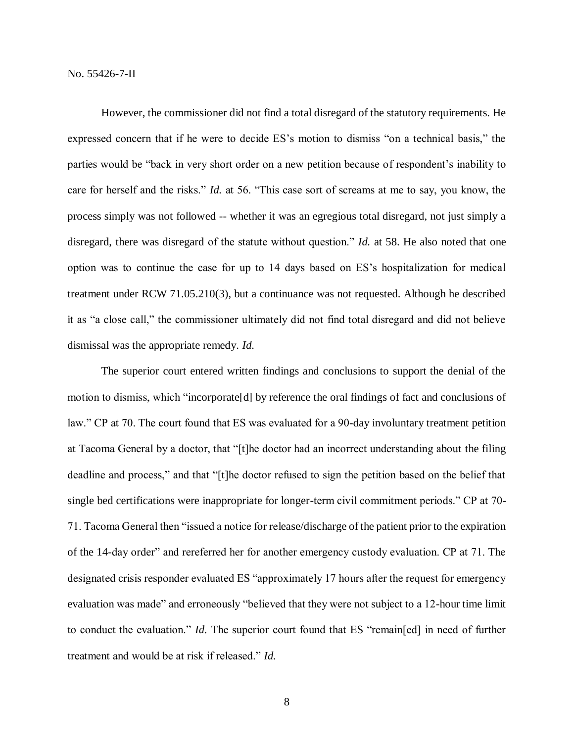However, the commissioner did not find a total disregard of the statutory requirements. He expressed concern that if he were to decide ES's motion to dismiss "on a technical basis," the parties would be "back in very short order on a new petition because of respondent's inability to care for herself and the risks." *Id.* at 56. "This case sort of screams at me to say, you know, the process simply was not followed -- whether it was an egregious total disregard, not just simply a disregard, there was disregard of the statute without question." *Id.* at 58. He also noted that one option was to continue the case for up to 14 days based on ES's hospitalization for medical treatment under RCW 71.05.210(3), but a continuance was not requested. Although he described it as "a close call," the commissioner ultimately did not find total disregard and did not believe dismissal was the appropriate remedy. *Id.*

The superior court entered written findings and conclusions to support the denial of the motion to dismiss, which "incorporate[d] by reference the oral findings of fact and conclusions of law." CP at 70. The court found that ES was evaluated for a 90-day involuntary treatment petition at Tacoma General by a doctor, that "[t]he doctor had an incorrect understanding about the filing deadline and process," and that "[t]he doctor refused to sign the petition based on the belief that single bed certifications were inappropriate for longer-term civil commitment periods." CP at 70- 71. Tacoma General then "issued a notice for release/discharge of the patient prior to the expiration of the 14-day order" and rereferred her for another emergency custody evaluation. CP at 71. The designated crisis responder evaluated ES "approximately 17 hours after the request for emergency evaluation was made" and erroneously "believed that they were not subject to a 12-hour time limit to conduct the evaluation." *Id.* The superior court found that ES "remain[ed] in need of further treatment and would be at risk if released." *Id.*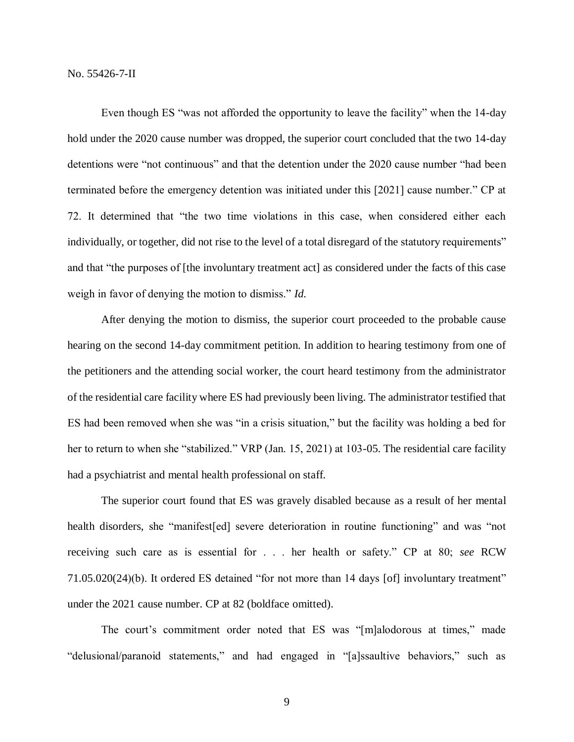Even though ES "was not afforded the opportunity to leave the facility" when the 14-day hold under the 2020 cause number was dropped, the superior court concluded that the two 14-day detentions were "not continuous" and that the detention under the 2020 cause number "had been terminated before the emergency detention was initiated under this [2021] cause number." CP at 72. It determined that "the two time violations in this case, when considered either each individually, or together, did not rise to the level of a total disregard of the statutory requirements" and that "the purposes of [the involuntary treatment act] as considered under the facts of this case weigh in favor of denying the motion to dismiss." *Id.*

After denying the motion to dismiss, the superior court proceeded to the probable cause hearing on the second 14-day commitment petition. In addition to hearing testimony from one of the petitioners and the attending social worker, the court heard testimony from the administrator of the residential care facility where ES had previously been living. The administrator testified that ES had been removed when she was "in a crisis situation," but the facility was holding a bed for her to return to when she "stabilized." VRP (Jan. 15, 2021) at 103-05. The residential care facility had a psychiatrist and mental health professional on staff.

The superior court found that ES was gravely disabled because as a result of her mental health disorders, she "manifest[ed] severe deterioration in routine functioning" and was "not receiving such care as is essential for . . . her health or safety." CP at 80; *see* RCW 71.05.020(24)(b). It ordered ES detained "for not more than 14 days [of] involuntary treatment" under the 2021 cause number. CP at 82 (boldface omitted).

The court's commitment order noted that ES was "[m]alodorous at times," made "delusional/paranoid statements," and had engaged in "[a]ssaultive behaviors," such as

9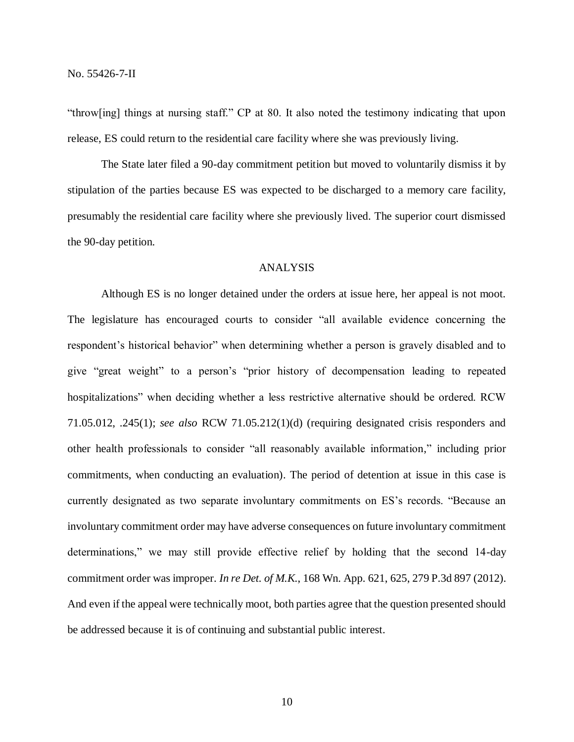"throw[ing] things at nursing staff." CP at 80. It also noted the testimony indicating that upon release, ES could return to the residential care facility where she was previously living.

The State later filed a 90-day commitment petition but moved to voluntarily dismiss it by stipulation of the parties because ES was expected to be discharged to a memory care facility, presumably the residential care facility where she previously lived. The superior court dismissed the 90-day petition.

## ANALYSIS

Although ES is no longer detained under the orders at issue here, her appeal is not moot. The legislature has encouraged courts to consider "all available evidence concerning the respondent's historical behavior" when determining whether a person is gravely disabled and to give "great weight" to a person's "prior history of decompensation leading to repeated hospitalizations" when deciding whether a less restrictive alternative should be ordered. RCW 71.05.012, .245(1); *see also* RCW 71.05.212(1)(d) (requiring designated crisis responders and other health professionals to consider "all reasonably available information," including prior commitments, when conducting an evaluation). The period of detention at issue in this case is currently designated as two separate involuntary commitments on ES's records. "Because an involuntary commitment order may have adverse consequences on future involuntary commitment determinations," we may still provide effective relief by holding that the second 14-day commitment order was improper. *In re Det. of M.K.*, 168 Wn. App. 621, 625, 279 P.3d 897 (2012). And even if the appeal were technically moot, both parties agree that the question presented should be addressed because it is of continuing and substantial public interest.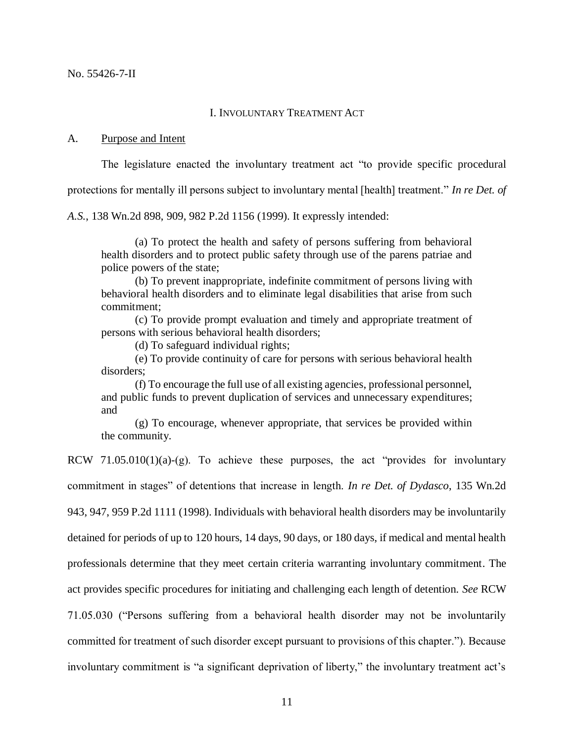#### I. INVOLUNTARY TREATMENT ACT

### A. Purpose and Intent

The legislature enacted the involuntary treatment act "to provide specific procedural

protections for mentally ill persons subject to involuntary mental [health] treatment." *In re Det. of* 

*A.S.*, 138 Wn.2d 898, 909, 982 P.2d 1156 (1999). It expressly intended:

(a) To protect the health and safety of persons suffering from behavioral health disorders and to protect public safety through use of the parens patriae and police powers of the state;

(b) To prevent inappropriate, indefinite commitment of persons living with behavioral health disorders and to eliminate legal disabilities that arise from such commitment;

(c) To provide prompt evaluation and timely and appropriate treatment of persons with serious behavioral health disorders;

(d) To safeguard individual rights;

(e) To provide continuity of care for persons with serious behavioral health disorders;

(f) To encourage the full use of all existing agencies, professional personnel, and public funds to prevent duplication of services and unnecessary expenditures; and

(g) To encourage, whenever appropriate, that services be provided within the community.

RCW  $71.05.010(1)(a)-(g)$ . To achieve these purposes, the act "provides for involuntary commitment in stages" of detentions that increase in length. *In re Det. of Dydasco*, 135 Wn.2d 943, 947, 959 P.2d 1111 (1998). Individuals with behavioral health disorders may be involuntarily detained for periods of up to 120 hours, 14 days, 90 days, or 180 days, if medical and mental health professionals determine that they meet certain criteria warranting involuntary commitment. The act provides specific procedures for initiating and challenging each length of detention. *See* RCW 71.05.030 ("Persons suffering from a behavioral health disorder may not be involuntarily committed for treatment of such disorder except pursuant to provisions of this chapter."). Because involuntary commitment is "a significant deprivation of liberty," the involuntary treatment act's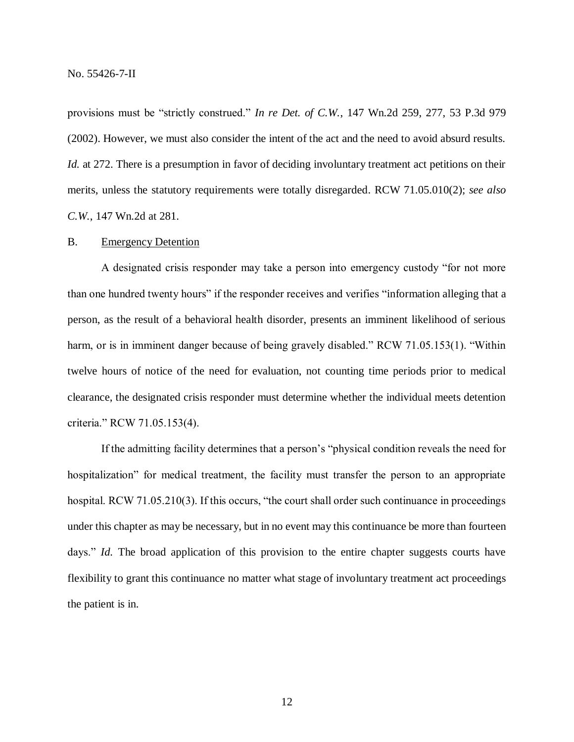provisions must be "strictly construed." *In re Det. of C.W.*, 147 Wn.2d 259, 277, 53 P.3d 979 (2002). However, we must also consider the intent of the act and the need to avoid absurd results. *Id.* at 272. There is a presumption in favor of deciding involuntary treatment act petitions on their merits, unless the statutory requirements were totally disregarded. RCW 71.05.010(2); *see also C.W.*, 147 Wn.2d at 281.

## B. Emergency Detention

A designated crisis responder may take a person into emergency custody "for not more than one hundred twenty hours" if the responder receives and verifies "information alleging that a person, as the result of a behavioral health disorder, presents an imminent likelihood of serious harm, or is in imminent danger because of being gravely disabled." RCW 71.05.153(1). "Within twelve hours of notice of the need for evaluation, not counting time periods prior to medical clearance, the designated crisis responder must determine whether the individual meets detention criteria." RCW 71.05.153(4).

If the admitting facility determines that a person's "physical condition reveals the need for hospitalization" for medical treatment, the facility must transfer the person to an appropriate hospital. RCW 71.05.210(3). If this occurs, "the court shall order such continuance in proceedings under this chapter as may be necessary, but in no event may this continuance be more than fourteen days." *Id.* The broad application of this provision to the entire chapter suggests courts have flexibility to grant this continuance no matter what stage of involuntary treatment act proceedings the patient is in.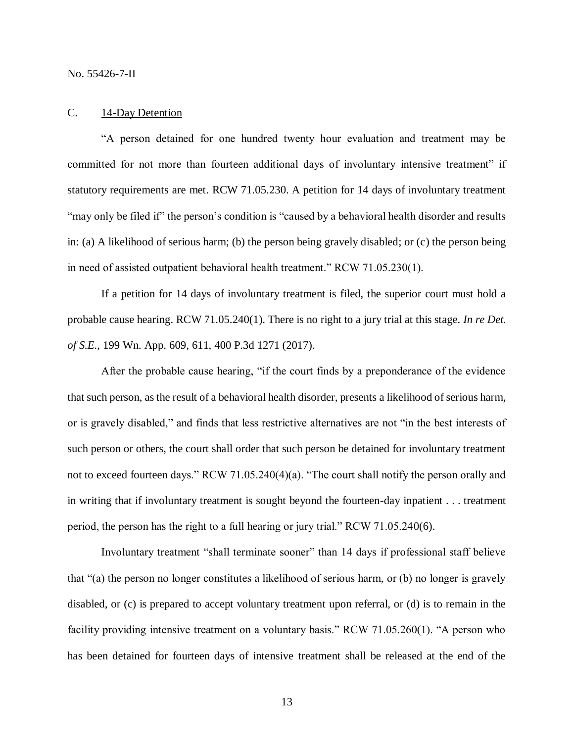### C. 14-Day Detention

"A person detained for one hundred twenty hour evaluation and treatment may be committed for not more than fourteen additional days of involuntary intensive treatment" if statutory requirements are met. RCW 71.05.230. A petition for 14 days of involuntary treatment "may only be filed if" the person's condition is "caused by a behavioral health disorder and results in: (a) A likelihood of serious harm; (b) the person being gravely disabled; or (c) the person being in need of assisted outpatient behavioral health treatment." RCW 71.05.230(1).

If a petition for 14 days of involuntary treatment is filed, the superior court must hold a probable cause hearing. RCW 71.05.240(1). There is no right to a jury trial at this stage. *In re Det. of S.E.*, 199 Wn. App. 609, 611, 400 P.3d 1271 (2017).

After the probable cause hearing, "if the court finds by a preponderance of the evidence that such person, as the result of a behavioral health disorder, presents a likelihood of serious harm, or is gravely disabled," and finds that less restrictive alternatives are not "in the best interests of such person or others, the court shall order that such person be detained for involuntary treatment not to exceed fourteen days." RCW 71.05.240(4)(a). "The court shall notify the person orally and in writing that if involuntary treatment is sought beyond the fourteen-day inpatient . . . treatment period, the person has the right to a full hearing or jury trial." RCW 71.05.240(6).

Involuntary treatment "shall terminate sooner" than 14 days if professional staff believe that "(a) the person no longer constitutes a likelihood of serious harm, or (b) no longer is gravely disabled, or (c) is prepared to accept voluntary treatment upon referral, or (d) is to remain in the facility providing intensive treatment on a voluntary basis." RCW 71.05.260(1). "A person who has been detained for fourteen days of intensive treatment shall be released at the end of the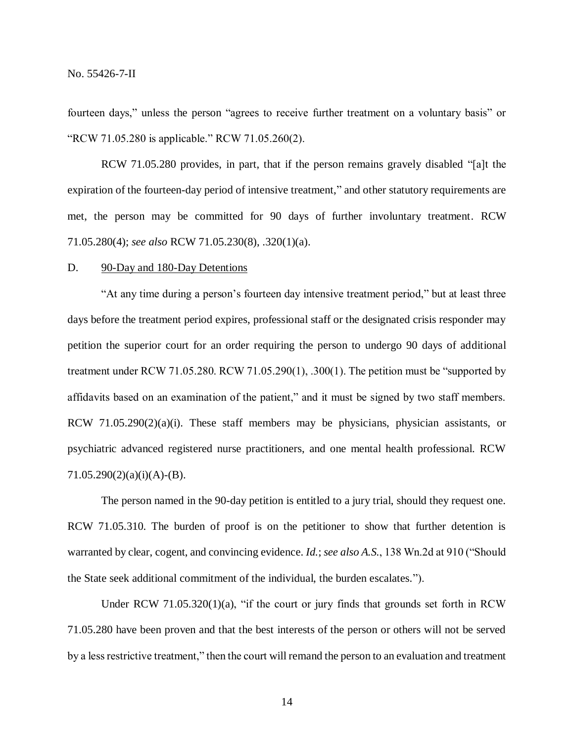fourteen days," unless the person "agrees to receive further treatment on a voluntary basis" or "RCW 71.05.280 is applicable." RCW 71.05.260(2).

RCW 71.05.280 provides, in part, that if the person remains gravely disabled "[a]t the expiration of the fourteen-day period of intensive treatment," and other statutory requirements are met, the person may be committed for 90 days of further involuntary treatment. RCW 71.05.280(4); *see also* RCW 71.05.230(8), .320(1)(a).

#### D. 90-Day and 180-Day Detentions

"At any time during a person's fourteen day intensive treatment period," but at least three days before the treatment period expires, professional staff or the designated crisis responder may petition the superior court for an order requiring the person to undergo 90 days of additional treatment under RCW 71.05.280. RCW 71.05.290(1), .300(1). The petition must be "supported by affidavits based on an examination of the patient," and it must be signed by two staff members. RCW  $71.05.290(2)(a)(i)$ . These staff members may be physicians, physician assistants, or psychiatric advanced registered nurse practitioners, and one mental health professional. RCW  $71.05.290(2)(a)(i)(A)-(B).$ 

The person named in the 90-day petition is entitled to a jury trial, should they request one. RCW 71.05.310. The burden of proof is on the petitioner to show that further detention is warranted by clear, cogent, and convincing evidence. *Id.*; *see also A.S.*, 138 Wn.2d at 910 ("Should the State seek additional commitment of the individual, the burden escalates.").

Under RCW 71.05.320(1)(a), "if the court or jury finds that grounds set forth in RCW 71.05.280 have been proven and that the best interests of the person or others will not be served by a less restrictive treatment," then the court will remand the person to an evaluation and treatment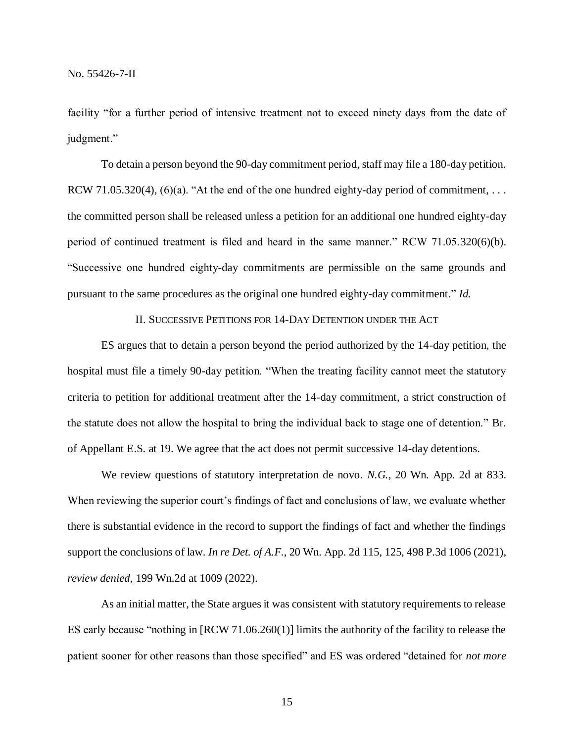facility "for a further period of intensive treatment not to exceed ninety days from the date of judgment."

To detain a person beyond the 90-day commitment period, staff may file a 180-day petition. RCW 71.05.320(4), (6)(a). "At the end of the one hundred eighty-day period of commitment, ... the committed person shall be released unless a petition for an additional one hundred eighty-day period of continued treatment is filed and heard in the same manner." RCW 71.05.320(6)(b). "Successive one hundred eighty-day commitments are permissible on the same grounds and pursuant to the same procedures as the original one hundred eighty-day commitment." *Id.*

## II. SUCCESSIVE PETITIONS FOR 14-DAY DETENTION UNDER THE ACT

ES argues that to detain a person beyond the period authorized by the 14-day petition, the hospital must file a timely 90-day petition. "When the treating facility cannot meet the statutory criteria to petition for additional treatment after the 14-day commitment, a strict construction of the statute does not allow the hospital to bring the individual back to stage one of detention." Br. of Appellant E.S. at 19. We agree that the act does not permit successive 14-day detentions.

We review questions of statutory interpretation de novo. *N.G.*, 20 Wn. App. 2d at 833. When reviewing the superior court's findings of fact and conclusions of law, we evaluate whether there is substantial evidence in the record to support the findings of fact and whether the findings support the conclusions of law. *In re Det. of A.F.*, 20 Wn. App. 2d 115, 125, 498 P.3d 1006 (2021), *review denied*, 199 Wn.2d at 1009 (2022).

As an initial matter, the State argues it was consistent with statutory requirements to release ES early because "nothing in [RCW 71.06.260(1)] limits the authority of the facility to release the patient sooner for other reasons than those specified" and ES was ordered "detained for *not more*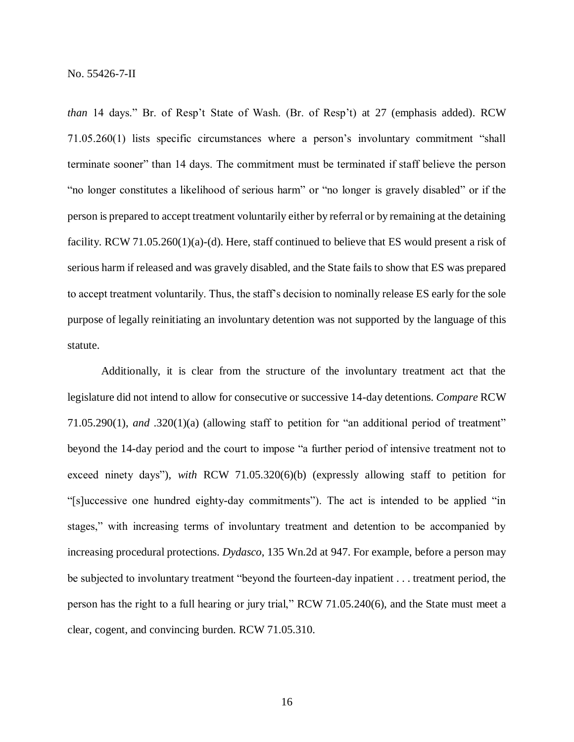*than* 14 days." Br. of Resp't State of Wash. (Br. of Resp't) at 27 (emphasis added). RCW 71.05.260(1) lists specific circumstances where a person's involuntary commitment "shall terminate sooner" than 14 days. The commitment must be terminated if staff believe the person "no longer constitutes a likelihood of serious harm" or "no longer is gravely disabled" or if the person is prepared to accept treatment voluntarily either by referral or by remaining at the detaining facility. RCW 71.05.260(1)(a)-(d). Here, staff continued to believe that ES would present a risk of serious harm if released and was gravely disabled, and the State fails to show that ES was prepared to accept treatment voluntarily. Thus, the staff's decision to nominally release ES early for the sole purpose of legally reinitiating an involuntary detention was not supported by the language of this statute.

Additionally, it is clear from the structure of the involuntary treatment act that the legislature did not intend to allow for consecutive or successive 14-day detentions. *Compare* RCW 71.05.290(1), *and* .320(1)(a) (allowing staff to petition for "an additional period of treatment" beyond the 14-day period and the court to impose "a further period of intensive treatment not to exceed ninety days"), *with* RCW 71.05.320(6)(b) (expressly allowing staff to petition for "[s]uccessive one hundred eighty-day commitments"). The act is intended to be applied "in stages," with increasing terms of involuntary treatment and detention to be accompanied by increasing procedural protections. *Dydasco*, 135 Wn.2d at 947. For example, before a person may be subjected to involuntary treatment "beyond the fourteen-day inpatient . . . treatment period, the person has the right to a full hearing or jury trial," RCW 71.05.240(6), and the State must meet a clear, cogent, and convincing burden. RCW 71.05.310.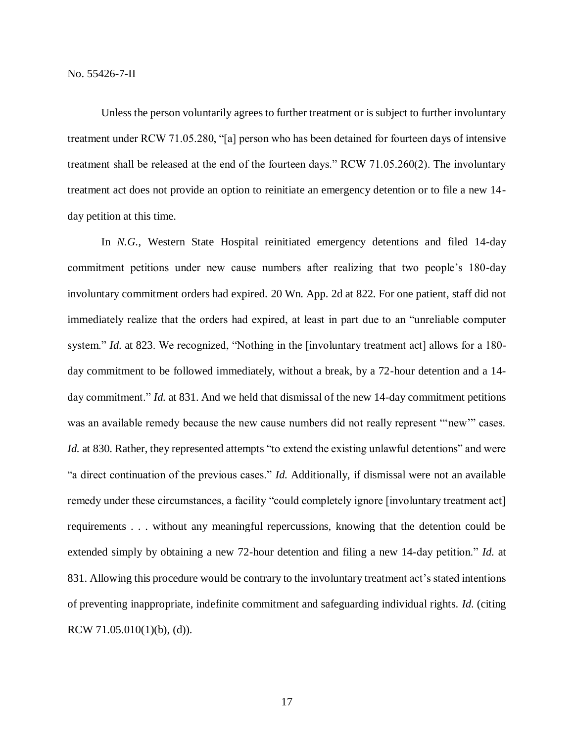Unless the person voluntarily agrees to further treatment or is subject to further involuntary treatment under RCW 71.05.280, "[a] person who has been detained for fourteen days of intensive treatment shall be released at the end of the fourteen days." RCW 71.05.260(2). The involuntary treatment act does not provide an option to reinitiate an emergency detention or to file a new 14 day petition at this time.

In *N.G.*, Western State Hospital reinitiated emergency detentions and filed 14-day commitment petitions under new cause numbers after realizing that two people's 180-day involuntary commitment orders had expired. 20 Wn. App. 2d at 822. For one patient, staff did not immediately realize that the orders had expired, at least in part due to an "unreliable computer system." *Id.* at 823. We recognized, "Nothing in the [involuntary treatment act] allows for a 180day commitment to be followed immediately, without a break, by a 72-hour detention and a 14 day commitment." *Id.* at 831. And we held that dismissal of the new 14-day commitment petitions was an available remedy because the new cause numbers did not really represent "'new'" cases. *Id.* at 830. Rather, they represented attempts "to extend the existing unlawful detentions" and were "a direct continuation of the previous cases." *Id.* Additionally, if dismissal were not an available remedy under these circumstances, a facility "could completely ignore [involuntary treatment act] requirements . . . without any meaningful repercussions, knowing that the detention could be extended simply by obtaining a new 72-hour detention and filing a new 14-day petition." *Id.* at 831. Allowing this procedure would be contrary to the involuntary treatment act's stated intentions of preventing inappropriate, indefinite commitment and safeguarding individual rights. *Id.* (citing RCW  $71.05.010(1)(b)$ , (d)).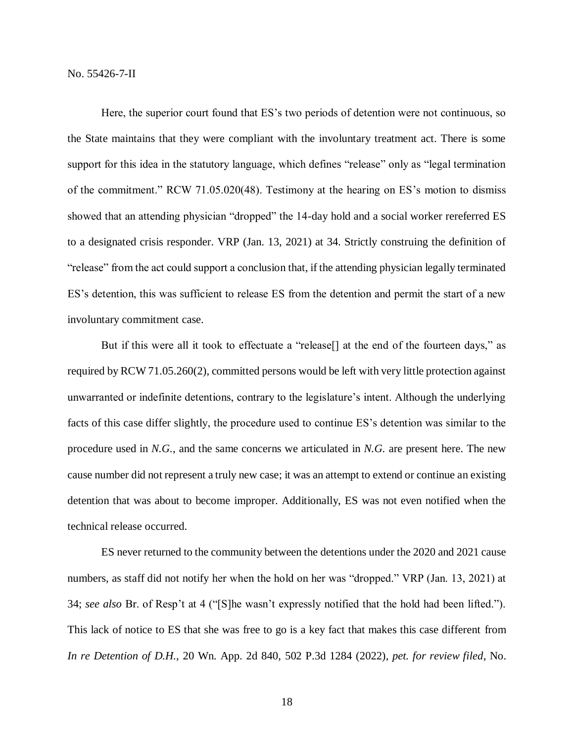Here, the superior court found that ES's two periods of detention were not continuous, so the State maintains that they were compliant with the involuntary treatment act. There is some support for this idea in the statutory language, which defines "release" only as "legal termination of the commitment." RCW 71.05.020(48). Testimony at the hearing on ES's motion to dismiss showed that an attending physician "dropped" the 14-day hold and a social worker rereferred ES to a designated crisis responder. VRP (Jan. 13, 2021) at 34. Strictly construing the definition of "release" from the act could support a conclusion that, if the attending physician legally terminated ES's detention, this was sufficient to release ES from the detention and permit the start of a new involuntary commitment case.

But if this were all it took to effectuate a "release<sup>[]</sup> at the end of the fourteen days," as required by RCW 71.05.260(2), committed persons would be left with very little protection against unwarranted or indefinite detentions, contrary to the legislature's intent. Although the underlying facts of this case differ slightly, the procedure used to continue ES's detention was similar to the procedure used in *N.G.*, and the same concerns we articulated in *N.G.* are present here. The new cause number did not represent a truly new case; it was an attempt to extend or continue an existing detention that was about to become improper. Additionally, ES was not even notified when the technical release occurred.

ES never returned to the community between the detentions under the 2020 and 2021 cause numbers, as staff did not notify her when the hold on her was "dropped." VRP (Jan. 13, 2021) at 34; *see also* Br. of Resp't at 4 ("[S]he wasn't expressly notified that the hold had been lifted."). This lack of notice to ES that she was free to go is a key fact that makes this case different from *In re Detention of D.H.*, 20 Wn. App. 2d 840, 502 P.3d 1284 (2022), *pet. for review filed*, No.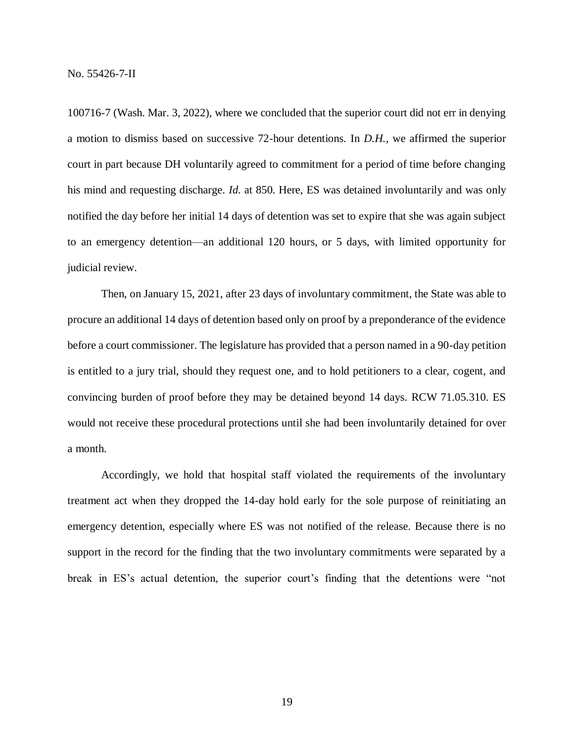100716-7 (Wash. Mar. 3, 2022), where we concluded that the superior court did not err in denying a motion to dismiss based on successive 72-hour detentions. In *D.H.*, we affirmed the superior court in part because DH voluntarily agreed to commitment for a period of time before changing his mind and requesting discharge. *Id.* at 850. Here, ES was detained involuntarily and was only notified the day before her initial 14 days of detention was set to expire that she was again subject to an emergency detention—an additional 120 hours, or 5 days, with limited opportunity for judicial review.

Then, on January 15, 2021, after 23 days of involuntary commitment, the State was able to procure an additional 14 days of detention based only on proof by a preponderance of the evidence before a court commissioner. The legislature has provided that a person named in a 90-day petition is entitled to a jury trial, should they request one, and to hold petitioners to a clear, cogent, and convincing burden of proof before they may be detained beyond 14 days. RCW 71.05.310. ES would not receive these procedural protections until she had been involuntarily detained for over a month.

Accordingly, we hold that hospital staff violated the requirements of the involuntary treatment act when they dropped the 14-day hold early for the sole purpose of reinitiating an emergency detention, especially where ES was not notified of the release. Because there is no support in the record for the finding that the two involuntary commitments were separated by a break in ES's actual detention, the superior court's finding that the detentions were "not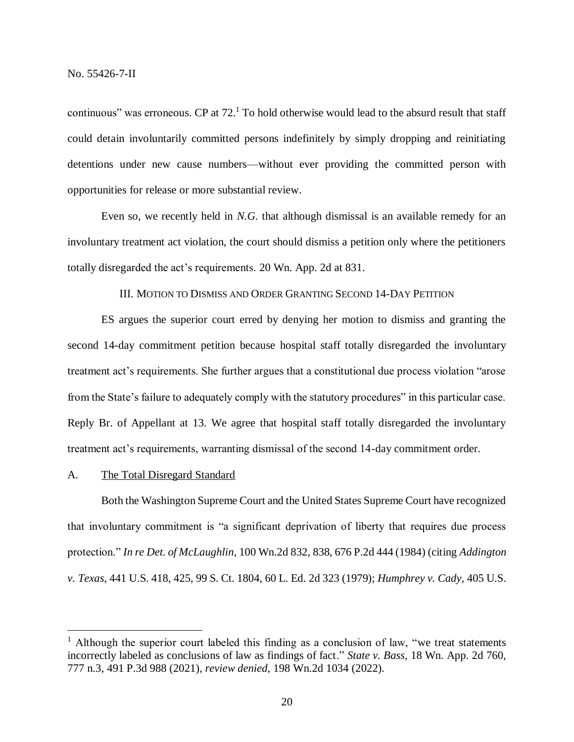continuous" was erroneous. CP at  $72<sup>1</sup>$  To hold otherwise would lead to the absurd result that staff could detain involuntarily committed persons indefinitely by simply dropping and reinitiating detentions under new cause numbers—without ever providing the committed person with opportunities for release or more substantial review.

Even so, we recently held in *N.G.* that although dismissal is an available remedy for an involuntary treatment act violation, the court should dismiss a petition only where the petitioners totally disregarded the act's requirements. 20 Wn. App. 2d at 831.

# III. MOTION TO DISMISS AND ORDER GRANTING SECOND 14-DAY PETITION

ES argues the superior court erred by denying her motion to dismiss and granting the second 14-day commitment petition because hospital staff totally disregarded the involuntary treatment act's requirements. She further argues that a constitutional due process violation "arose from the State's failure to adequately comply with the statutory procedures" in this particular case. Reply Br. of Appellant at 13. We agree that hospital staff totally disregarded the involuntary treatment act's requirements, warranting dismissal of the second 14-day commitment order.

#### A. The Total Disregard Standard

 $\overline{a}$ 

Both the Washington Supreme Court and the United States Supreme Court have recognized that involuntary commitment is "a significant deprivation of liberty that requires due process protection." *In re Det. of McLaughlin*, 100 Wn.2d 832, 838, 676 P.2d 444 (1984) (citing *Addington v. Texas*, 441 U.S. 418, 425, 99 S. Ct. 1804, 60 L. Ed. 2d 323 (1979); *Humphrey v. Cady*, 405 U.S.

 $<sup>1</sup>$  Although the superior court labeled this finding as a conclusion of law, "we treat statements</sup> incorrectly labeled as conclusions of law as findings of fact." *State v. Bass*, 18 Wn. App. 2d 760, 777 n.3, 491 P.3d 988 (2021), *review denied*, 198 Wn.2d 1034 (2022).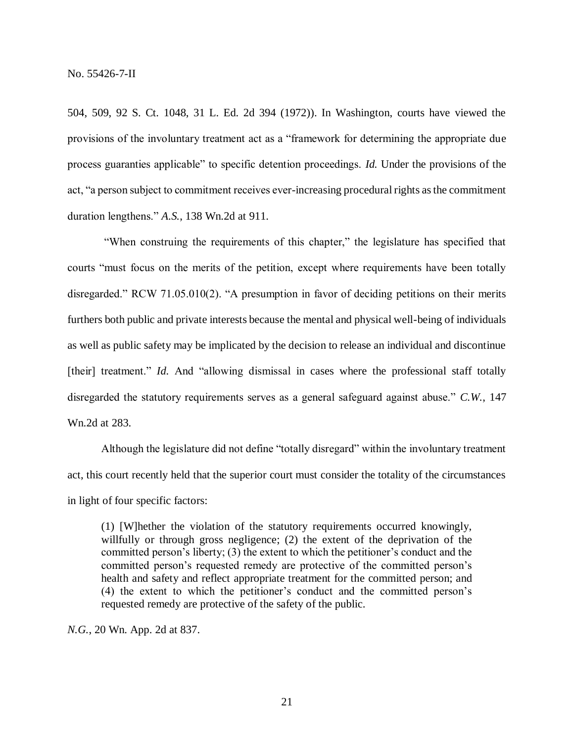504, 509, 92 S. Ct. 1048, 31 L. Ed. 2d 394 (1972)). In Washington, courts have viewed the provisions of the involuntary treatment act as a "framework for determining the appropriate due process guaranties applicable" to specific detention proceedings. *Id.* Under the provisions of the act, "a person subject to commitment receives ever-increasing procedural rights as the commitment duration lengthens." *A.S.*, 138 Wn.2d at 911.

"When construing the requirements of this chapter," the legislature has specified that courts "must focus on the merits of the petition, except where requirements have been totally disregarded." RCW 71.05.010(2). "A presumption in favor of deciding petitions on their merits furthers both public and private interests because the mental and physical well-being of individuals as well as public safety may be implicated by the decision to release an individual and discontinue [their] treatment." *Id.* And "allowing dismissal in cases where the professional staff totally disregarded the statutory requirements serves as a general safeguard against abuse." *C.W.*, 147 Wn.2d at 283.

Although the legislature did not define "totally disregard" within the involuntary treatment act, this court recently held that the superior court must consider the totality of the circumstances in light of four specific factors:

(1) [W]hether the violation of the statutory requirements occurred knowingly, willfully or through gross negligence; (2) the extent of the deprivation of the committed person's liberty; (3) the extent to which the petitioner's conduct and the committed person's requested remedy are protective of the committed person's health and safety and reflect appropriate treatment for the committed person; and (4) the extent to which the petitioner's conduct and the committed person's requested remedy are protective of the safety of the public.

*N.G.*, 20 Wn. App. 2d at 837.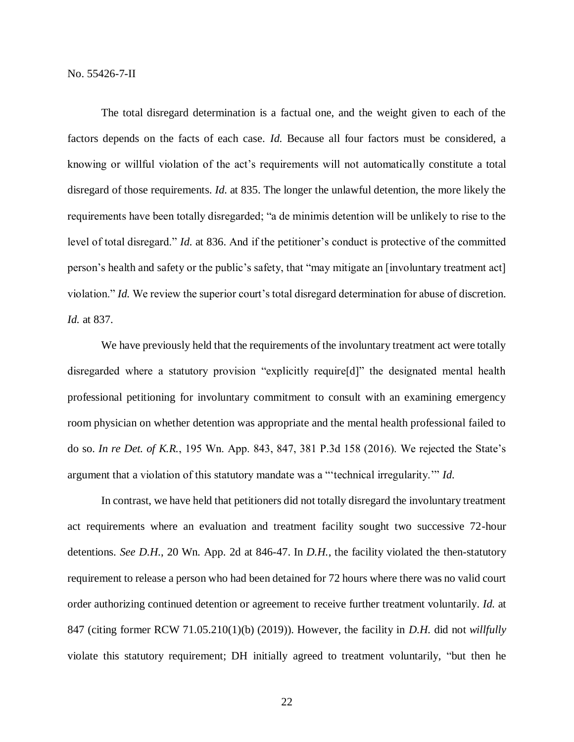The total disregard determination is a factual one, and the weight given to each of the factors depends on the facts of each case. *Id.* Because all four factors must be considered, a knowing or willful violation of the act's requirements will not automatically constitute a total disregard of those requirements. *Id.* at 835. The longer the unlawful detention, the more likely the requirements have been totally disregarded; "a de minimis detention will be unlikely to rise to the level of total disregard." *Id.* at 836. And if the petitioner's conduct is protective of the committed person's health and safety or the public's safety, that "may mitigate an [involuntary treatment act] violation." *Id.* We review the superior court's total disregard determination for abuse of discretion. *Id.* at 837.

We have previously held that the requirements of the involuntary treatment act were totally disregarded where a statutory provision "explicitly require[d]" the designated mental health professional petitioning for involuntary commitment to consult with an examining emergency room physician on whether detention was appropriate and the mental health professional failed to do so. *In re Det. of K.R.*, 195 Wn. App. 843, 847, 381 P.3d 158 (2016). We rejected the State's argument that a violation of this statutory mandate was a "'technical irregularity.'" *Id.* 

In contrast, we have held that petitioners did not totally disregard the involuntary treatment act requirements where an evaluation and treatment facility sought two successive 72-hour detentions. *See D.H.*, 20 Wn. App. 2d at 846-47. In *D.H.*, the facility violated the then-statutory requirement to release a person who had been detained for 72 hours where there was no valid court order authorizing continued detention or agreement to receive further treatment voluntarily. *Id.* at 847 (citing former RCW 71.05.210(1)(b) (2019)). However, the facility in *D.H.* did not *willfully* violate this statutory requirement; DH initially agreed to treatment voluntarily, "but then he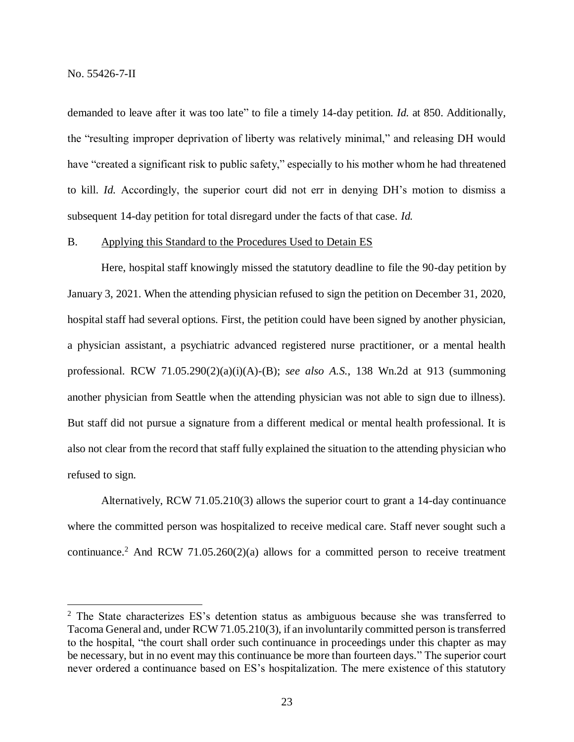$\overline{a}$ 

demanded to leave after it was too late" to file a timely 14-day petition. *Id.* at 850. Additionally, the "resulting improper deprivation of liberty was relatively minimal," and releasing DH would have "created a significant risk to public safety," especially to his mother whom he had threatened to kill. *Id.* Accordingly, the superior court did not err in denying DH's motion to dismiss a subsequent 14-day petition for total disregard under the facts of that case. *Id.*

## B. Applying this Standard to the Procedures Used to Detain ES

Here, hospital staff knowingly missed the statutory deadline to file the 90-day petition by January 3, 2021. When the attending physician refused to sign the petition on December 31, 2020, hospital staff had several options. First, the petition could have been signed by another physician, a physician assistant, a psychiatric advanced registered nurse practitioner, or a mental health professional. RCW 71.05.290(2)(a)(i)(A)-(B); *see also A.S.*, 138 Wn.2d at 913 (summoning another physician from Seattle when the attending physician was not able to sign due to illness). But staff did not pursue a signature from a different medical or mental health professional. It is also not clear from the record that staff fully explained the situation to the attending physician who refused to sign.

Alternatively, RCW 71.05.210(3) allows the superior court to grant a 14-day continuance where the committed person was hospitalized to receive medical care. Staff never sought such a continuance.<sup>2</sup> And RCW 71.05.260(2)(a) allows for a committed person to receive treatment

 $2$  The State characterizes ES's detention status as ambiguous because she was transferred to Tacoma General and, under RCW 71.05.210(3), if an involuntarily committed person is transferred to the hospital, "the court shall order such continuance in proceedings under this chapter as may be necessary, but in no event may this continuance be more than fourteen days." The superior court never ordered a continuance based on ES's hospitalization. The mere existence of this statutory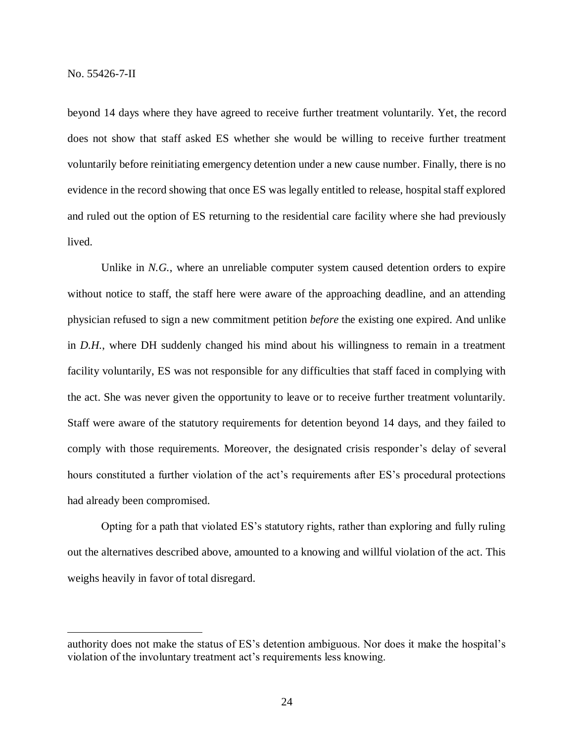$\overline{a}$ 

beyond 14 days where they have agreed to receive further treatment voluntarily. Yet, the record does not show that staff asked ES whether she would be willing to receive further treatment voluntarily before reinitiating emergency detention under a new cause number. Finally, there is no evidence in the record showing that once ES was legally entitled to release, hospital staff explored and ruled out the option of ES returning to the residential care facility where she had previously lived.

Unlike in *N.G.*, where an unreliable computer system caused detention orders to expire without notice to staff, the staff here were aware of the approaching deadline, and an attending physician refused to sign a new commitment petition *before* the existing one expired. And unlike in *D.H.*, where DH suddenly changed his mind about his willingness to remain in a treatment facility voluntarily, ES was not responsible for any difficulties that staff faced in complying with the act. She was never given the opportunity to leave or to receive further treatment voluntarily. Staff were aware of the statutory requirements for detention beyond 14 days, and they failed to comply with those requirements. Moreover, the designated crisis responder's delay of several hours constituted a further violation of the act's requirements after ES's procedural protections had already been compromised.

Opting for a path that violated ES's statutory rights, rather than exploring and fully ruling out the alternatives described above, amounted to a knowing and willful violation of the act. This weighs heavily in favor of total disregard.

authority does not make the status of ES's detention ambiguous. Nor does it make the hospital's violation of the involuntary treatment act's requirements less knowing.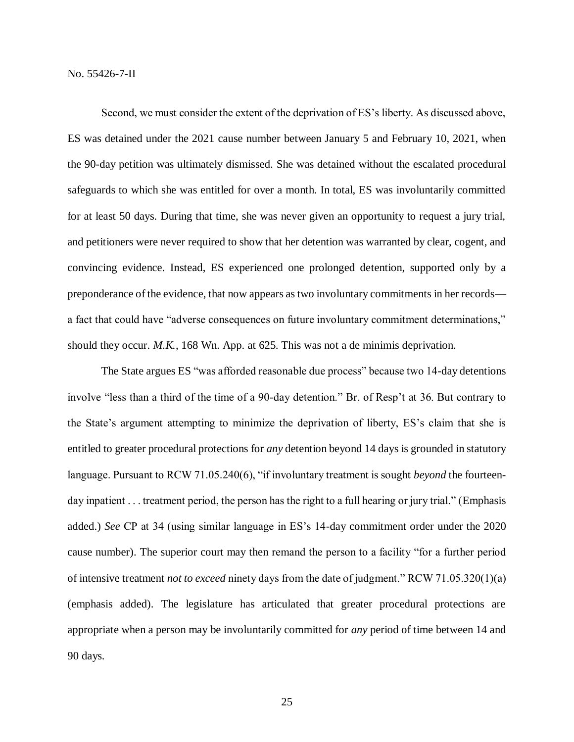Second, we must consider the extent of the deprivation of ES's liberty. As discussed above, ES was detained under the 2021 cause number between January 5 and February 10, 2021, when the 90-day petition was ultimately dismissed. She was detained without the escalated procedural safeguards to which she was entitled for over a month. In total, ES was involuntarily committed for at least 50 days. During that time, she was never given an opportunity to request a jury trial, and petitioners were never required to show that her detention was warranted by clear, cogent, and convincing evidence. Instead, ES experienced one prolonged detention, supported only by a preponderance of the evidence, that now appears as two involuntary commitments in her records a fact that could have "adverse consequences on future involuntary commitment determinations," should they occur. *M.K.*, 168 Wn. App. at 625. This was not a de minimis deprivation.

The State argues ES "was afforded reasonable due process" because two 14-day detentions involve "less than a third of the time of a 90-day detention." Br. of Resp't at 36. But contrary to the State's argument attempting to minimize the deprivation of liberty, ES's claim that she is entitled to greater procedural protections for *any* detention beyond 14 days is grounded in statutory language. Pursuant to RCW 71.05.240(6), "if involuntary treatment is sought *beyond* the fourteenday inpatient . . . treatment period, the person has the right to a full hearing or jury trial." (Emphasis added.) *See* CP at 34 (using similar language in ES's 14-day commitment order under the 2020 cause number). The superior court may then remand the person to a facility "for a further period of intensive treatment *not to exceed* ninety days from the date of judgment." RCW 71.05.320(1)(a) (emphasis added). The legislature has articulated that greater procedural protections are appropriate when a person may be involuntarily committed for *any* period of time between 14 and 90 days.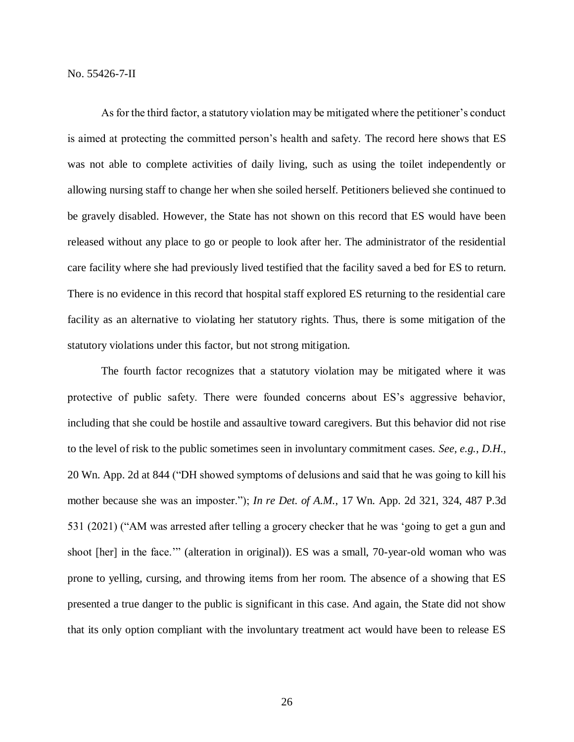As for the third factor, a statutory violation may be mitigated where the petitioner's conduct is aimed at protecting the committed person's health and safety. The record here shows that ES was not able to complete activities of daily living, such as using the toilet independently or allowing nursing staff to change her when she soiled herself. Petitioners believed she continued to be gravely disabled. However, the State has not shown on this record that ES would have been released without any place to go or people to look after her. The administrator of the residential care facility where she had previously lived testified that the facility saved a bed for ES to return. There is no evidence in this record that hospital staff explored ES returning to the residential care facility as an alternative to violating her statutory rights. Thus, there is some mitigation of the statutory violations under this factor, but not strong mitigation.

The fourth factor recognizes that a statutory violation may be mitigated where it was protective of public safety. There were founded concerns about ES's aggressive behavior, including that she could be hostile and assaultive toward caregivers. But this behavior did not rise to the level of risk to the public sometimes seen in involuntary commitment cases. *See, e.g.*, *D.H.*, 20 Wn. App. 2d at 844 ("DH showed symptoms of delusions and said that he was going to kill his mother because she was an imposter."); *In re Det. of A.M.*, 17 Wn. App. 2d 321, 324, 487 P.3d 531 (2021) ("AM was arrested after telling a grocery checker that he was 'going to get a gun and shoot [her] in the face.'" (alteration in original)). ES was a small, 70-year-old woman who was prone to yelling, cursing, and throwing items from her room. The absence of a showing that ES presented a true danger to the public is significant in this case. And again, the State did not show that its only option compliant with the involuntary treatment act would have been to release ES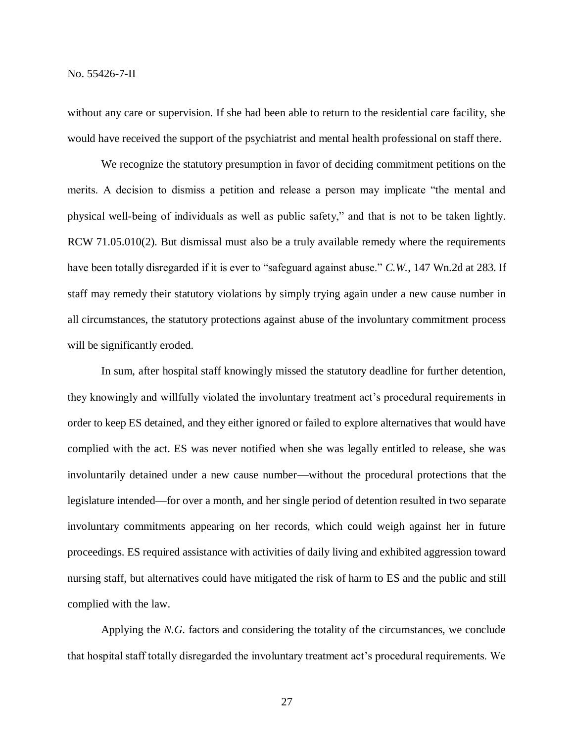without any care or supervision. If she had been able to return to the residential care facility, she would have received the support of the psychiatrist and mental health professional on staff there.

We recognize the statutory presumption in favor of deciding commitment petitions on the merits. A decision to dismiss a petition and release a person may implicate "the mental and physical well-being of individuals as well as public safety," and that is not to be taken lightly. RCW 71.05.010(2). But dismissal must also be a truly available remedy where the requirements have been totally disregarded if it is ever to "safeguard against abuse." *C.W.*, 147 Wn.2d at 283. If staff may remedy their statutory violations by simply trying again under a new cause number in all circumstances, the statutory protections against abuse of the involuntary commitment process will be significantly eroded.

In sum, after hospital staff knowingly missed the statutory deadline for further detention, they knowingly and willfully violated the involuntary treatment act's procedural requirements in order to keep ES detained, and they either ignored or failed to explore alternatives that would have complied with the act. ES was never notified when she was legally entitled to release, she was involuntarily detained under a new cause number—without the procedural protections that the legislature intended—for over a month, and her single period of detention resulted in two separate involuntary commitments appearing on her records, which could weigh against her in future proceedings. ES required assistance with activities of daily living and exhibited aggression toward nursing staff, but alternatives could have mitigated the risk of harm to ES and the public and still complied with the law.

Applying the *N.G.* factors and considering the totality of the circumstances, we conclude that hospital staff totally disregarded the involuntary treatment act's procedural requirements. We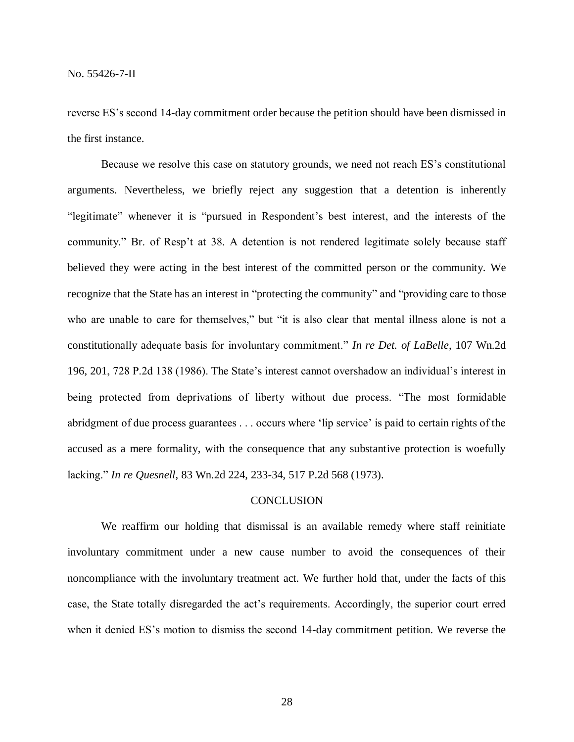reverse ES's second 14-day commitment order because the petition should have been dismissed in the first instance.

Because we resolve this case on statutory grounds, we need not reach ES's constitutional arguments. Nevertheless, we briefly reject any suggestion that a detention is inherently "legitimate" whenever it is "pursued in Respondent's best interest, and the interests of the community." Br. of Resp't at 38. A detention is not rendered legitimate solely because staff believed they were acting in the best interest of the committed person or the community. We recognize that the State has an interest in "protecting the community" and "providing care to those who are unable to care for themselves," but "it is also clear that mental illness alone is not a constitutionally adequate basis for involuntary commitment." *In re Det. of LaBelle*, 107 Wn.2d 196, 201, 728 P.2d 138 (1986). The State's interest cannot overshadow an individual's interest in being protected from deprivations of liberty without due process. "The most formidable abridgment of due process guarantees . . . occurs where 'lip service' is paid to certain rights of the accused as a mere formality, with the consequence that any substantive protection is woefully lacking." *In re Quesnell*, 83 Wn.2d 224, 233-34, 517 P.2d 568 (1973).

# **CONCLUSION**

We reaffirm our holding that dismissal is an available remedy where staff reinitiate involuntary commitment under a new cause number to avoid the consequences of their noncompliance with the involuntary treatment act. We further hold that, under the facts of this case, the State totally disregarded the act's requirements. Accordingly, the superior court erred when it denied ES's motion to dismiss the second 14-day commitment petition. We reverse the